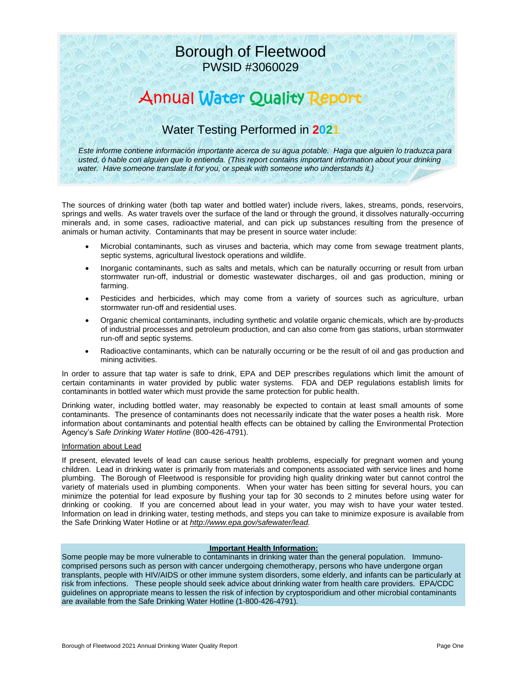## Borough of Fleetwood PWSID #3060029

# Annual Water Quality Report

## Water Testing Performed in **2021**

*Este informe contiene información importante acerca de su agua potable. Haga que alguien lo traduzca para usted, ó hable con alguien que lo entienda. (This report contains important information about your drinking water. Have someone translate it for you, or speak with someone who understands it.)*

The sources of drinking water (both tap water and bottled water) include rivers, lakes, streams, ponds, reservoirs, springs and wells. As water travels over the surface of the land or through the ground, it dissolves naturally-occurring minerals and, in some cases, radioactive material, and can pick up substances resulting from the presence of animals or human activity. Contaminants that may be present in source water include:

- Microbial contaminants, such as viruses and bacteria, which may come from sewage treatment plants, septic systems, agricultural livestock operations and wildlife.
- Inorganic contaminants, such as salts and metals, which can be naturally occurring or result from urban stormwater run-off, industrial or domestic wastewater discharges, oil and gas production, mining or farming.
- Pesticides and herbicides, which may come from a variety of sources such as agriculture, urban stormwater run-off and residential uses.
- Organic chemical contaminants, including synthetic and volatile organic chemicals, which are by-products of industrial processes and petroleum production, and can also come from gas stations, urban stormwater run-off and septic systems.
- Radioactive contaminants, which can be naturally occurring or be the result of oil and gas production and mining activities.

In order to assure that tap water is safe to drink, EPA and DEP prescribes regulations which limit the amount of certain contaminants in water provided by public water systems. FDA and DEP regulations establish limits for contaminants in bottled water which must provide the same protection for public health.

Drinking water, including bottled water, may reasonably be expected to contain at least small amounts of some contaminants. The presence of contaminants does not necessarily indicate that the water poses a health risk. More information about contaminants and potential health effects can be obtained by calling the Environmental Protection Agency's *Safe Drinking Water Hotline* (800-426-4791).

#### Information about Lead

If present, elevated levels of lead can cause serious health problems, especially for pregnant women and young children. Lead in drinking water is primarily from materials and components associated with service lines and home plumbing. The Borough of Fleetwood is responsible for providing high quality drinking water but cannot control the variety of materials used in plumbing components. When your water has been sitting for several hours, you can minimize the potential for lead exposure by flushing your tap for 30 seconds to 2 minutes before using water for drinking or cooking. If you are concerned about lead in your water, you may wish to have your water tested. Information on lead in drinking water, testing methods, and steps you can take to minimize exposure is available from the Safe Drinking Water Hotline or at *[http://www.epa.gov/safewater/lead.](http://www.epa.gov/safewater/lead)*

#### **Important Health Information:**

Some people may be more vulnerable to contaminants in drinking water than the general population. Immunocomprised persons such as person with cancer undergoing chemotherapy, persons who have undergone organ transplants, people with HIV/AIDS or other immune system disorders, some elderly, and infants can be particularly at risk from infections. These people should seek advice about drinking water from health care providers. EPA/CDC guidelines on appropriate means to lessen the risk of infection by cryptosporidium and other microbial contaminants are available from the Safe Drinking Water Hotline (1-800-426-4791).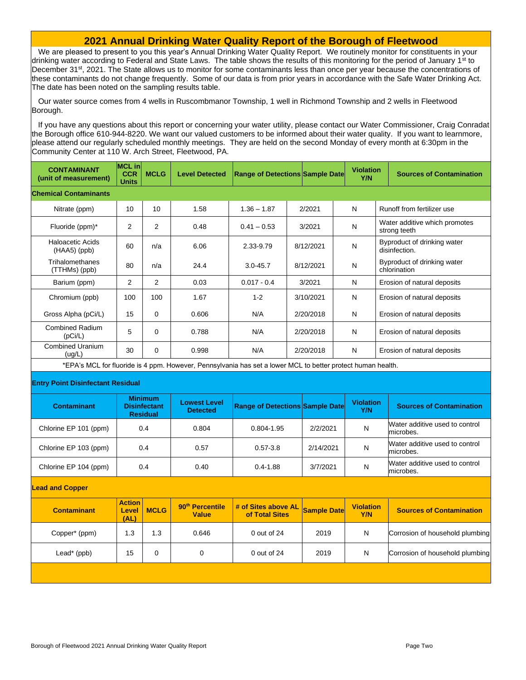#### **2021 Annual Drinking Water Quality Report of the Borough of Fleetwood**

We are pleased to present to you this year's Annual Drinking Water Quality Report. We routinely monitor for constituents in your drinking water according to Federal and State Laws. The table shows the results of this monitoring for the period of January 1<sup>st</sup> to December 31<sup>st</sup>, 2021. The State allows us to monitor for some contaminants less than once per year because the concentrations of these contaminants do not change frequently. Some of our data is from prior years in accordance with the Safe Water Drinking Act. The date has been noted on the sampling results table.

Our water source comes from 4 wells in Ruscombmanor Township, 1 well in Richmond Township and 2 wells in Fleetwood Borough.

If you have any questions about this report or concerning your water utility, please contact our Water Commissioner, Craig Conradat the Borough office 610-944-8220. We want our valued customers to be informed about their water quality. If you want to learnmore, please attend our regularly scheduled monthly meetings. They are held on the second Monday of every month at 6:30pm in the Community Center at 110 W. Arch Street, Fleetwood, PA.

| <b>CONTAMINANT</b><br>(unit of measurement)                                                                 | <b>MCL</b> in<br><b>CCR</b><br>Units                     | <b>MCLG</b>    | <b>Level Detected</b>                       | <b>Range of Detections Sample Date</b> |                    |           |   | <b>Violation</b><br>Y/N | <b>Sources of Contamination</b>               |
|-------------------------------------------------------------------------------------------------------------|----------------------------------------------------------|----------------|---------------------------------------------|----------------------------------------|--------------------|-----------|---|-------------------------|-----------------------------------------------|
| <b>Chemical Contaminants</b>                                                                                |                                                          |                |                                             |                                        |                    |           |   |                         |                                               |
| Nitrate (ppm)                                                                                               | 10                                                       | 10             | 1.58                                        | $1.36 - 1.87$                          |                    | 2/2021    |   | N                       | Runoff from fertilizer use                    |
| Fluoride (ppm)*                                                                                             | $\overline{2}$                                           | 2              | 0.48                                        | $0.41 - 0.53$                          |                    | 3/2021    | N |                         | Water additive which promotes<br>strong teeth |
| Haloacetic Acids<br>(HAA5) (ppb)                                                                            | 60                                                       | n/a            | 6.06                                        | 2.33-9.79                              |                    | 8/12/2021 | N |                         | Byproduct of drinking water<br>disinfection.  |
| Trihalomethanes<br>(TTHMs) (ppb)                                                                            | 80                                                       | n/a            | 24.4                                        | $3.0 - 45.7$                           |                    | 8/12/2021 | N |                         | Byproduct of drinking water<br>chlorination   |
| Barium (ppm)                                                                                                | $\overline{2}$                                           | $\overline{2}$ | 0.03                                        | $0.017 - 0.4$                          |                    | 3/2021    | N |                         | Erosion of natural deposits                   |
| Chromium (ppb)                                                                                              | 100                                                      | 100            | 1.67                                        | $1 - 2$                                |                    | 3/10/2021 | N |                         | Erosion of natural deposits                   |
| Gross Alpha (pCi/L)                                                                                         | 15                                                       | 0              | 0.606                                       | N/A                                    |                    | 2/20/2018 | N |                         | Erosion of natural deposits                   |
| <b>Combined Radium</b><br>(pCi/L)                                                                           | 5                                                        | $\mathbf 0$    | 0.788                                       | N/A                                    |                    | 2/20/2018 | N |                         | Erosion of natural deposits                   |
| <b>Combined Uranium</b><br>(ug/L)                                                                           | 30                                                       | $\Omega$       | 0.998                                       | N/A                                    |                    | 2/20/2018 | N |                         | Erosion of natural deposits                   |
| *EPA's MCL for fluoride is 4 ppm. However, Pennsylvania has set a lower MCL to better protect human health. |                                                          |                |                                             |                                        |                    |           |   |                         |                                               |
| <b>Entry Point Disinfectant Residual</b>                                                                    |                                                          |                |                                             |                                        |                    |           |   |                         |                                               |
| <b>Contaminant</b>                                                                                          | <b>Minimum</b><br><b>Disinfectant</b><br><b>Residual</b> |                | <b>Lowest Level</b><br><b>Detected</b>      | <b>Range of Detections Sample Date</b> |                    |           |   | <b>Violation</b><br>Y/N | <b>Sources of Contamination</b>               |
| Chlorine EP 101 (ppm)                                                                                       |                                                          | 0.4            | 0.804                                       | 0.804-1.95                             |                    | 2/2/2021  | N |                         | Water additive used to control<br>microbes.   |
| Chlorine EP 103 (ppm)                                                                                       | 0.4                                                      |                | 0.57                                        | $0.57 - 3.8$                           |                    | 2/14/2021 |   | N                       | Water additive used to control<br>microbes.   |
| Chlorine EP 104 (ppm)                                                                                       | 0.4                                                      |                | 0.40                                        | $0.4 - 1.88$                           |                    | 3/7/2021  |   | N                       | Water additive used to control<br>microbes.   |
| <b>Lead and Copper</b>                                                                                      |                                                          |                |                                             |                                        |                    |           |   |                         |                                               |
| <b>Contaminant</b>                                                                                          | <b>Action</b><br>Level<br>(AL)                           | <b>MCLG</b>    | 90 <sup>th</sup> Percentile<br><b>Value</b> | # of Sites above AL<br>of Total Sites  | <b>Sample Date</b> |           |   | <b>Violation</b><br>Y/N | <b>Sources of Contamination</b>               |
| Copper* (ppm)                                                                                               | 1.3                                                      | 1.3            | 0.646                                       | 0 out of 24                            |                    |           |   | N                       | Corrosion of household plumbing               |
| Lead* (ppb)                                                                                                 | 15                                                       | $\mathbf 0$    | $\Omega$                                    | $0$ out of $24$                        |                    | 2019      |   | N                       | Corrosion of household plumbing               |
|                                                                                                             |                                                          |                |                                             |                                        |                    |           |   |                         |                                               |